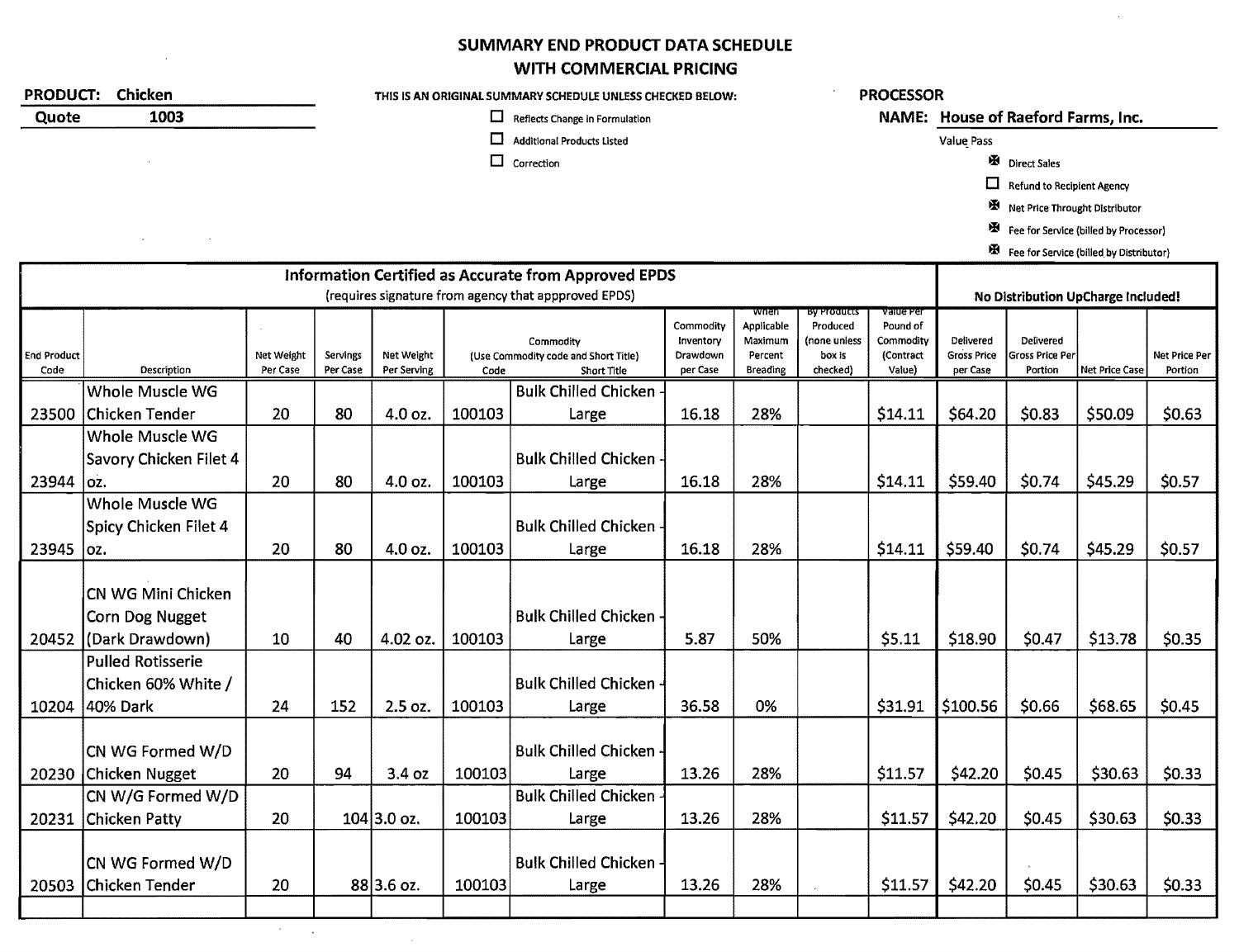## SUMMARY END PRODUCT DATA SCHEDULE WITH COMMERCIAL PRICING

| <b>PRODUCT:</b><br>Chicken |                          |            |          | THIS IS AN ORIGINAL SUMMARY SCHEDULE UNLESS CHECKED BELOW: |        |                                                             |                       |                    | <b>PROCESSOR</b>        |                                    |                                    |                                         |                |               |
|----------------------------|--------------------------|------------|----------|------------------------------------------------------------|--------|-------------------------------------------------------------|-----------------------|--------------------|-------------------------|------------------------------------|------------------------------------|-----------------------------------------|----------------|---------------|
| 1003<br>Quote              |                          |            |          | ⊔<br>Reflects Change in Formulation                        |        |                                                             |                       |                    |                         | NAME: House of Raeford Farms, Inc. |                                    |                                         |                |               |
|                            |                          |            |          |                                                            | □      | <b>Additional Products Listed</b>                           |                       |                    |                         |                                    | Value Pass                         |                                         |                |               |
|                            |                          |            |          |                                                            | $\Box$ | Correction                                                  |                       |                    |                         |                                    |                                    | Direct Sales                            |                |               |
|                            |                          |            |          |                                                            |        |                                                             |                       |                    |                         |                                    | $\Box$                             | <b>Refund to Recipient Agency</b>       |                |               |
|                            |                          |            |          |                                                            |        |                                                             |                       |                    |                         |                                    |                                    | Net Price Throught Distributor          |                |               |
|                            |                          |            |          |                                                            |        |                                                             |                       |                    |                         |                                    | 图                                  | Fee for Service (billed by Processor)   |                |               |
|                            |                          |            |          |                                                            |        |                                                             |                       |                    |                         |                                    |                                    | Fee for Service (billed by Distributor) |                |               |
|                            |                          |            |          |                                                            |        | <b>Information Certified as Accurate from Approved EPDS</b> |                       |                    |                         |                                    |                                    |                                         |                |               |
|                            |                          |            |          | (requires signature from agency that appproved EPDS)       |        |                                                             |                       |                    |                         |                                    | No Distribution UpCharge Included! |                                         |                |               |
|                            |                          |            |          |                                                            |        |                                                             | Commodity             | wnen<br>Applicable | By Products<br>Produced | value Per<br>Pound of              |                                    |                                         |                |               |
| End Product                |                          | Net Weight | Servings | Net Weight                                                 |        | Commodity<br>(Use Commodity code and Short Title)           | Inventory<br>Drawdown | Maximum<br>Percent | (none unless<br>box is  | Commodity<br>(Contract             | Delivered<br><b>Gross Price</b>    | Delivered<br>Gross Price Per            |                | Net Price Per |
| Code                       | Description              | Per Case   | Per Case | Per Serving                                                | Code   | Short Title                                                 | per Case              | <b>Breading</b>    | checked)                | Value)                             | per Case                           | Portion                                 | Net Price Case | Portion       |
|                            | Whole Muscle WG          |            |          |                                                            |        | <b>Bulk Chilled Chicken</b>                                 |                       |                    |                         |                                    |                                    |                                         |                |               |
| 23500                      | <b>Chicken Tender</b>    | 20         | 80       | 4.0 oz.                                                    | 100103 | Large                                                       | 16.18                 | 28%                |                         | \$14.11                            | \$64.20                            | \$0.83                                  | \$50.09        | \$0.63        |
|                            | Whole Muscle WG          |            |          |                                                            |        |                                                             |                       |                    |                         |                                    |                                    |                                         |                |               |
|                            | Savory Chicken Filet 4   |            |          |                                                            |        | <b>Bulk Chilled Chicken -</b>                               |                       |                    |                         |                                    |                                    |                                         |                |               |
| 23944                      | loz.                     | 20         | 80       | 4.0 oz.                                                    | 100103 | Large                                                       | 16.18                 | 28%                |                         | \$14.11                            | \$59.40                            | \$0.74                                  | \$45.29        | \$0.57        |
|                            | Whole Muscle WG          |            |          |                                                            |        |                                                             |                       |                    |                         |                                    |                                    |                                         |                |               |
|                            | Spicy Chicken Filet 4    |            |          |                                                            |        | <b>Bulk Chilled Chicken</b>                                 |                       |                    |                         |                                    |                                    |                                         |                |               |
| 23945                      | loz.                     | 20         | 80       | 4.0 oz.                                                    | 100103 | Large                                                       | 16.18                 | 28%                |                         | \$14.11                            | \$59.40                            | \$0.74                                  | \$45.29        | \$0.57        |
|                            |                          |            |          |                                                            |        |                                                             |                       |                    |                         |                                    |                                    |                                         |                |               |
|                            | CN WG Mini Chicken       |            |          |                                                            |        |                                                             |                       |                    |                         |                                    |                                    |                                         |                |               |
|                            | Corn Dog Nugget          |            |          |                                                            |        | <b>Bulk Chilled Chicken -</b>                               |                       |                    |                         |                                    |                                    |                                         |                |               |
| 20452                      | (Dark Drawdown)          | 10         | 40       | 4.02 oz.                                                   | 100103 | Large                                                       | 5.87                  | 50%                |                         | \$5.11                             | \$18.90                            | \$0.47                                  | \$13.78        | \$0.35        |
|                            | <b>Pulled Rotisserie</b> |            |          |                                                            |        |                                                             |                       |                    |                         |                                    |                                    |                                         |                |               |
|                            | Chicken 60% White /      |            |          |                                                            |        | Bulk Chilled Chicken                                        |                       |                    |                         |                                    |                                    |                                         |                |               |
| 10204                      | 40% Dark                 | 24         | 152      | 2.5 oz.                                                    | 100103 | Large                                                       | 36.58                 | 0%                 |                         | \$31.91                            | \$100.56                           | \$0.66                                  | \$68.65        | \$0.45        |
|                            |                          |            |          |                                                            |        |                                                             |                       |                    |                         |                                    |                                    |                                         |                |               |
|                            | CN WG Formed W/D         |            |          |                                                            |        | Bulk Chilled Chicken -                                      |                       |                    |                         |                                    |                                    |                                         |                |               |
|                            | 20230 Chicken Nugget     | 20         | 94       | 3.4 oz                                                     | 100103 | Large                                                       | 13.26                 | 28%                |                         | \$11.57                            | \$42.20                            | \$0.45                                  | \$30.63        | \$0.33        |
|                            | CN W/G Formed W/D        |            |          |                                                            |        | Bulk Chilled Chicken                                        |                       |                    |                         |                                    |                                    |                                         |                |               |
| 20231                      | <b>Chicken Patty</b>     | 20         |          | $104$ 3.0 oz.                                              | 100103 | Large                                                       | 13.26                 | 28%                |                         | \$11.57                            | \$42.20                            | \$0.45                                  | \$30.63        | \$0.33        |
|                            | CN WG Formed W/D         |            |          |                                                            |        | Bulk Chilled Chicken -                                      |                       |                    |                         |                                    |                                    |                                         |                |               |
| 20503                      | Chicken Tender           | 20         |          | $88 3.6$ oz.                                               | 100103 | Large                                                       | 13.26                 | 28%                |                         | \$11.57                            | \$42.20                            | \$0.45                                  | \$30.63        | \$0.33        |
|                            |                          |            |          |                                                            |        |                                                             |                       |                    |                         |                                    |                                    |                                         |                |               |
|                            |                          |            |          |                                                            |        |                                                             |                       |                    |                         |                                    |                                    |                                         |                |               |

 $\mathcal{A}^{\text{max}}_{\text{max}}$